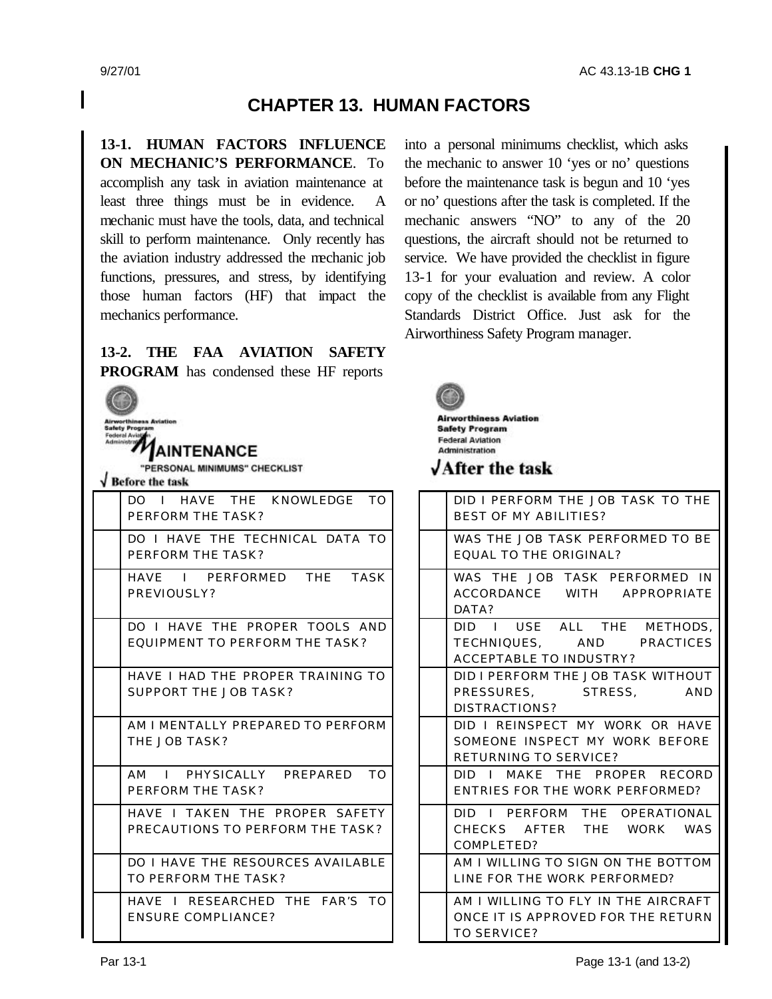## **CHAPTER 13. HUMAN FACTORS**

## **13-1. HUMAN FACTORS INFLUENCE**

**ON MECHANIC'S PERFORMANCE**. To accomplish any task in aviation maintenance at least three things must be in evidence. mechanic must have the tools, data, and technical skill to perform maintenance. Only recently has the aviation industry addressed the mechanic job functions, pressures, and stress, by identifying those human factors (HF) that impact the mechanics performance.

# **13-2. THE FAA AVIATION SAFETY**

**PROGRAM** has condensed these HF reports



into a personal minimums checklist, which asks the mechanic to answer 10 'yes or no' questions before the maintenance task is begun and 10 'yes or no' questions after the task is completed. If the mechanic answers "NO" to any of the 20 questions, the aircraft should not be returned to service. We have provided the checklist in figure 13-1 for your evaluation and review. A color copy of the checklist is available from any Flight Standards District Office. Just ask for the Airworthiness Safety Program manager.



**Airworthiness Aviation Safety Program Federal Aviation** Administration

### **JAfter the task**

| DID I PERFORM THE JOB TASK TO THE<br><b>BEST OF MY ABILITIES?</b>                               |
|-------------------------------------------------------------------------------------------------|
| WAS THE JOB TASK PERFORMED TO BE<br><b>EQUAL TO THE ORIGINAL?</b>                               |
| WAS THE JOB TASK PERFORMED IN<br>ACCORDANCE WITH APPROPRIATE<br>DATA?                           |
| DID I USE ALL THE METHODS,<br>TECHNIQUES, AND PRACTICES<br>ACCEPTABLE TO INDUSTRY?              |
| DID I PERFORM THE JOB TASK WITHOUT<br>PRESSURES, STRESS,<br><b>AND</b><br>DISTRACTIONS?         |
| DID I REINSPECT MY WORK OR HAVE<br>SOMEONE INSPECT MY WORK BEFORE<br>RETURNING TO SERVICE?      |
| DID I MAKE THE PROPER RECORD<br>ENTRIES FOR THE WORK PERFORMED?                                 |
| DID I PERFORM THE OPERATIONAL<br>CHECKS AFTER THE WORK WAS<br>COMPLETED?                        |
| AM I WILLING TO SIGN ON THE BOTTOM<br><b>LINE FOR THE WORK PERFORMED?</b>                       |
| AM I WILLING TO FLY IN THE AIRCRAFT<br>ONCE IT IS APPROVED FOR THE RETURN<br><b>TO SERVICE?</b> |